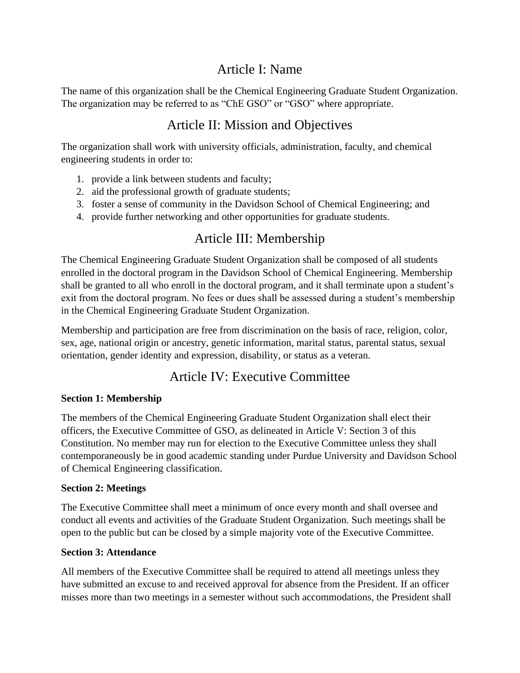# Article I: Name

The name of this organization shall be the Chemical Engineering Graduate Student Organization. The organization may be referred to as "ChE GSO" or "GSO" where appropriate.

## Article II: Mission and Objectives

The organization shall work with university officials, administration, faculty, and chemical engineering students in order to:

- 1. provide a link between students and faculty;
- 2. aid the professional growth of graduate students;
- 3. foster a sense of community in the Davidson School of Chemical Engineering; and
- 4. provide further networking and other opportunities for graduate students.

# Article III: Membership

The Chemical Engineering Graduate Student Organization shall be composed of all students enrolled in the doctoral program in the Davidson School of Chemical Engineering. Membership shall be granted to all who enroll in the doctoral program, and it shall terminate upon a student's exit from the doctoral program. No fees or dues shall be assessed during a student's membership in the Chemical Engineering Graduate Student Organization.

Membership and participation are free from discrimination on the basis of race, religion, color, sex, age, national origin or ancestry, genetic information, marital status, parental status, sexual orientation, gender identity and expression, disability, or status as a veteran.

## Article IV: Executive Committee

## **Section 1: Membership**

The members of the Chemical Engineering Graduate Student Organization shall elect their officers, the Executive Committee of GSO, as delineated in Article V: Section 3 of this Constitution. No member may run for election to the Executive Committee unless they shall contemporaneously be in good academic standing under Purdue University and Davidson School of Chemical Engineering classification.

## **Section 2: Meetings**

The Executive Committee shall meet a minimum of once every month and shall oversee and conduct all events and activities of the Graduate Student Organization. Such meetings shall be open to the public but can be closed by a simple majority vote of the Executive Committee.

## **Section 3: Attendance**

All members of the Executive Committee shall be required to attend all meetings unless they have submitted an excuse to and received approval for absence from the President. If an officer misses more than two meetings in a semester without such accommodations, the President shall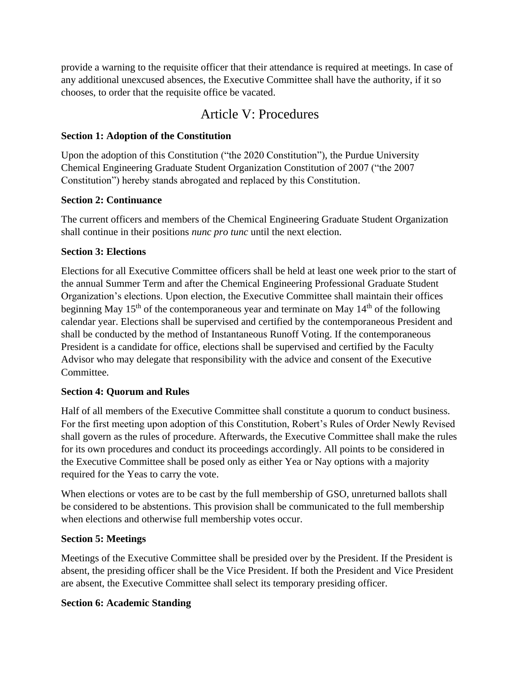provide a warning to the requisite officer that their attendance is required at meetings. In case of any additional unexcused absences, the Executive Committee shall have the authority, if it so chooses, to order that the requisite office be vacated.

## Article V: Procedures

### **Section 1: Adoption of the Constitution**

Upon the adoption of this Constitution ("the 2020 Constitution"), the Purdue University Chemical Engineering Graduate Student Organization Constitution of 2007 ("the 2007 Constitution") hereby stands abrogated and replaced by this Constitution.

#### **Section 2: Continuance**

The current officers and members of the Chemical Engineering Graduate Student Organization shall continue in their positions *nunc pro tunc* until the next election.

#### **Section 3: Elections**

Elections for all Executive Committee officers shall be held at least one week prior to the start of the annual Summer Term and after the Chemical Engineering Professional Graduate Student Organization's elections. Upon election, the Executive Committee shall maintain their offices beginning May  $15<sup>th</sup>$  of the contemporaneous year and terminate on May  $14<sup>th</sup>$  of the following calendar year. Elections shall be supervised and certified by the contemporaneous President and shall be conducted by the method of Instantaneous Runoff Voting. If the contemporaneous President is a candidate for office, elections shall be supervised and certified by the Faculty Advisor who may delegate that responsibility with the advice and consent of the Executive Committee.

## **Section 4: Quorum and Rules**

Half of all members of the Executive Committee shall constitute a quorum to conduct business. For the first meeting upon adoption of this Constitution, Robert's Rules of Order Newly Revised shall govern as the rules of procedure. Afterwards, the Executive Committee shall make the rules for its own procedures and conduct its proceedings accordingly. All points to be considered in the Executive Committee shall be posed only as either Yea or Nay options with a majority required for the Yeas to carry the vote.

When elections or votes are to be cast by the full membership of GSO, unreturned ballots shall be considered to be abstentions. This provision shall be communicated to the full membership when elections and otherwise full membership votes occur.

## **Section 5: Meetings**

Meetings of the Executive Committee shall be presided over by the President. If the President is absent, the presiding officer shall be the Vice President. If both the President and Vice President are absent, the Executive Committee shall select its temporary presiding officer.

## **Section 6: Academic Standing**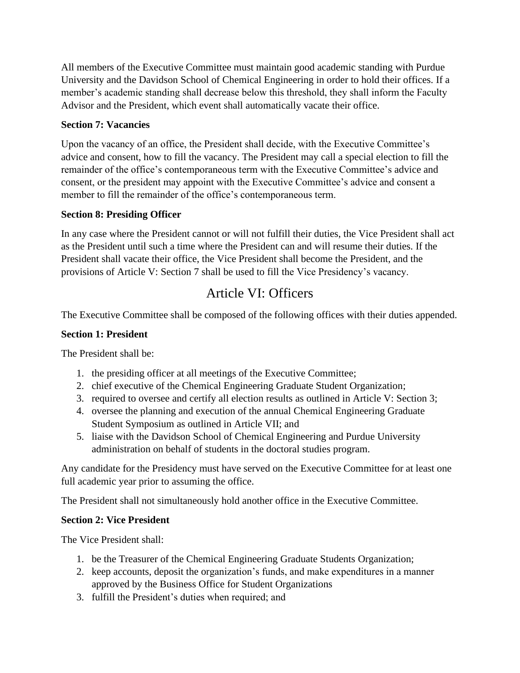All members of the Executive Committee must maintain good academic standing with Purdue University and the Davidson School of Chemical Engineering in order to hold their offices. If a member's academic standing shall decrease below this threshold, they shall inform the Faculty Advisor and the President, which event shall automatically vacate their office.

#### **Section 7: Vacancies**

Upon the vacancy of an office, the President shall decide, with the Executive Committee's advice and consent, how to fill the vacancy. The President may call a special election to fill the remainder of the office's contemporaneous term with the Executive Committee's advice and consent, or the president may appoint with the Executive Committee's advice and consent a member to fill the remainder of the office's contemporaneous term.

#### **Section 8: Presiding Officer**

In any case where the President cannot or will not fulfill their duties, the Vice President shall act as the President until such a time where the President can and will resume their duties. If the President shall vacate their office, the Vice President shall become the President, and the provisions of Article V: Section 7 shall be used to fill the Vice Presidency's vacancy.

# Article VI: Officers

The Executive Committee shall be composed of the following offices with their duties appended.

#### **Section 1: President**

The President shall be:

- 1. the presiding officer at all meetings of the Executive Committee;
- 2. chief executive of the Chemical Engineering Graduate Student Organization;
- 3. required to oversee and certify all election results as outlined in Article V: Section 3;
- 4. oversee the planning and execution of the annual Chemical Engineering Graduate Student Symposium as outlined in Article VII; and
- 5. liaise with the Davidson School of Chemical Engineering and Purdue University administration on behalf of students in the doctoral studies program.

Any candidate for the Presidency must have served on the Executive Committee for at least one full academic year prior to assuming the office.

The President shall not simultaneously hold another office in the Executive Committee.

#### **Section 2: Vice President**

The Vice President shall:

- 1. be the Treasurer of the Chemical Engineering Graduate Students Organization;
- 2. keep accounts, deposit the organization's funds, and make expenditures in a manner approved by the Business Office for Student Organizations
- 3. fulfill the President's duties when required; and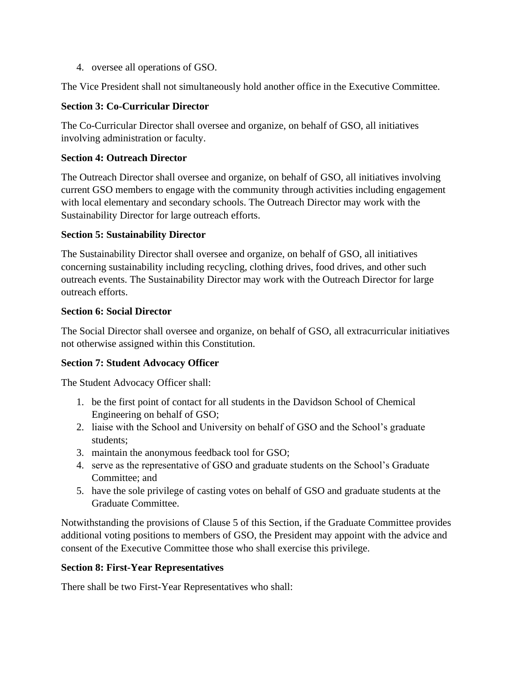4. oversee all operations of GSO.

The Vice President shall not simultaneously hold another office in the Executive Committee.

#### **Section 3: Co-Curricular Director**

The Co-Curricular Director shall oversee and organize, on behalf of GSO, all initiatives involving administration or faculty.

#### **Section 4: Outreach Director**

The Outreach Director shall oversee and organize, on behalf of GSO, all initiatives involving current GSO members to engage with the community through activities including engagement with local elementary and secondary schools. The Outreach Director may work with the Sustainability Director for large outreach efforts.

#### **Section 5: Sustainability Director**

The Sustainability Director shall oversee and organize, on behalf of GSO, all initiatives concerning sustainability including recycling, clothing drives, food drives, and other such outreach events. The Sustainability Director may work with the Outreach Director for large outreach efforts.

#### **Section 6: Social Director**

The Social Director shall oversee and organize, on behalf of GSO, all extracurricular initiatives not otherwise assigned within this Constitution.

## **Section 7: Student Advocacy Officer**

The Student Advocacy Officer shall:

- 1. be the first point of contact for all students in the Davidson School of Chemical Engineering on behalf of GSO;
- 2. liaise with the School and University on behalf of GSO and the School's graduate students;
- 3. maintain the anonymous feedback tool for GSO;
- 4. serve as the representative of GSO and graduate students on the School's Graduate Committee; and
- 5. have the sole privilege of casting votes on behalf of GSO and graduate students at the Graduate Committee.

Notwithstanding the provisions of Clause 5 of this Section, if the Graduate Committee provides additional voting positions to members of GSO, the President may appoint with the advice and consent of the Executive Committee those who shall exercise this privilege.

## **Section 8: First-Year Representatives**

There shall be two First-Year Representatives who shall: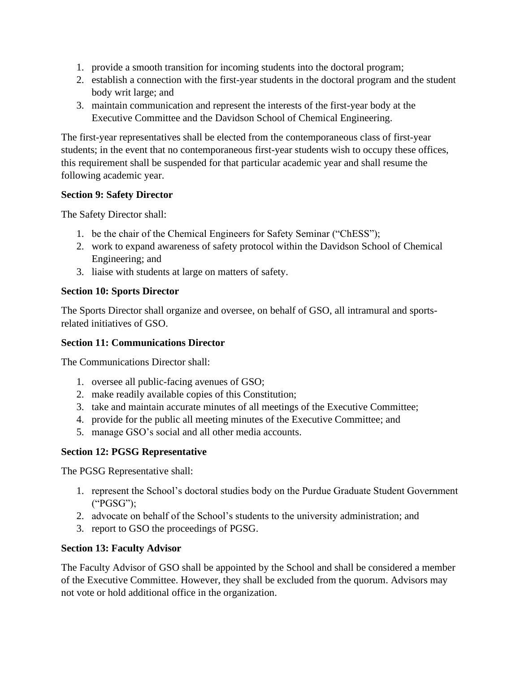- 1. provide a smooth transition for incoming students into the doctoral program;
- 2. establish a connection with the first-year students in the doctoral program and the student body writ large; and
- 3. maintain communication and represent the interests of the first-year body at the Executive Committee and the Davidson School of Chemical Engineering.

The first-year representatives shall be elected from the contemporaneous class of first-year students; in the event that no contemporaneous first-year students wish to occupy these offices, this requirement shall be suspended for that particular academic year and shall resume the following academic year.

#### **Section 9: Safety Director**

The Safety Director shall:

- 1. be the chair of the Chemical Engineers for Safety Seminar ("ChESS");
- 2. work to expand awareness of safety protocol within the Davidson School of Chemical Engineering; and
- 3. liaise with students at large on matters of safety.

#### **Section 10: Sports Director**

The Sports Director shall organize and oversee, on behalf of GSO, all intramural and sportsrelated initiatives of GSO.

#### **Section 11: Communications Director**

The Communications Director shall:

- 1. oversee all public-facing avenues of GSO;
- 2. make readily available copies of this Constitution;
- 3. take and maintain accurate minutes of all meetings of the Executive Committee;
- 4. provide for the public all meeting minutes of the Executive Committee; and
- 5. manage GSO's social and all other media accounts.

## **Section 12: PGSG Representative**

The PGSG Representative shall:

- 1. represent the School's doctoral studies body on the Purdue Graduate Student Government ("PGSG");
- 2. advocate on behalf of the School's students to the university administration; and
- 3. report to GSO the proceedings of PGSG.

## **Section 13: Faculty Advisor**

The Faculty Advisor of GSO shall be appointed by the School and shall be considered a member of the Executive Committee. However, they shall be excluded from the quorum. Advisors may not vote or hold additional office in the organization.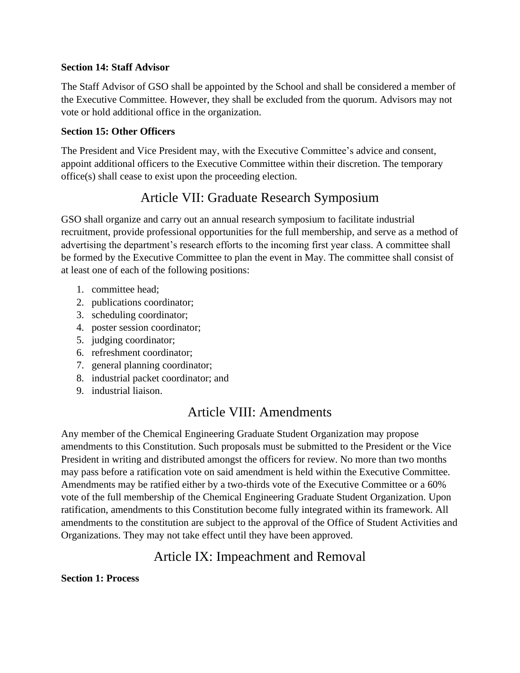#### **Section 14: Staff Advisor**

The Staff Advisor of GSO shall be appointed by the School and shall be considered a member of the Executive Committee. However, they shall be excluded from the quorum. Advisors may not vote or hold additional office in the organization.

#### **Section 15: Other Officers**

The President and Vice President may, with the Executive Committee's advice and consent, appoint additional officers to the Executive Committee within their discretion. The temporary office(s) shall cease to exist upon the proceeding election.

## Article VII: Graduate Research Symposium

GSO shall organize and carry out an annual research symposium to facilitate industrial recruitment, provide professional opportunities for the full membership, and serve as a method of advertising the department's research efforts to the incoming first year class. A committee shall be formed by the Executive Committee to plan the event in May. The committee shall consist of at least one of each of the following positions:

- 1. committee head;
- 2. publications coordinator;
- 3. scheduling coordinator;
- 4. poster session coordinator;
- 5. judging coordinator;
- 6. refreshment coordinator;
- 7. general planning coordinator;
- 8. industrial packet coordinator; and
- 9. industrial liaison.

## Article VIII: Amendments

Any member of the Chemical Engineering Graduate Student Organization may propose amendments to this Constitution. Such proposals must be submitted to the President or the Vice President in writing and distributed amongst the officers for review. No more than two months may pass before a ratification vote on said amendment is held within the Executive Committee. Amendments may be ratified either by a two-thirds vote of the Executive Committee or a 60% vote of the full membership of the Chemical Engineering Graduate Student Organization. Upon ratification, amendments to this Constitution become fully integrated within its framework. All amendments to the constitution are subject to the approval of the Office of Student Activities and Organizations. They may not take effect until they have been approved.

## Article IX: Impeachment and Removal

**Section 1: Process**